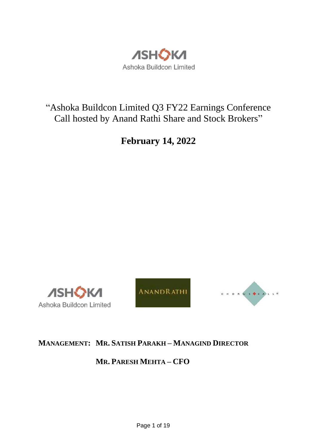

"Ashoka Buildcon Limited Q3 FY22 Earnings Conference Call hosted by Anand Rathi Share and Stock Brokers"

**February 14, 2022**







# **MANAGEMENT: MR. SATISH PARAKH – MANAGIND DIRECTOR**

# **MR. PARESH MEHTA – CFO**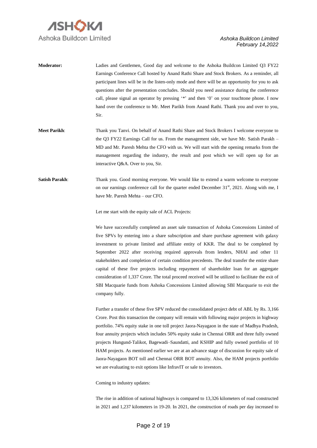

| <b>Moderator:</b>   | Ladies and Gentlemen, Good day and welcome to the Ashoka Buildcon Limited Q3 FY22                 |
|---------------------|---------------------------------------------------------------------------------------------------|
|                     | Earnings Conference Call hosted by Anand Rathi Share and Stock Brokers. As a reminder, all        |
|                     | participant lines will be in the listen-only mode and there will be an opportunity for you to ask |
|                     | questions after the presentation concludes. Should you need assistance during the conference      |
|                     | call, please signal an operator by pressing '*' and then '0' on your touchtone phone. I now       |
|                     | hand over the conference to Mr. Meet Parikh from Anand Rathi. Thank you and over to you,          |
|                     | Sir.                                                                                              |
| <b>Meet Parikh:</b> | Thank you Tanvi. On behalf of Anand Rathi Share and Stock Brokers I welcome everyone to           |
|                     | the Q3 FY22 Earnings Call for us. From the management side, we have Mr. Satish Parakh –           |
|                     | MD and Mr. Paresh Mehta the CFO with us. We will start with the opening remarks from the          |
|                     | management regarding the industry, the result and post which we will open up for an               |

**Satish Parakh**: Thank you. Good morning everyone. We would like to extend a warm welcome to everyone on our earnings conference call for the quarter ended December 31<sup>st</sup>, 2021. Along with me, I have Mr. Paresh Mehta – our CFO.

Let me start with the equity sale of ACL Projects:

interactive Q&A. Over to you, Sir.

We have successfully completed an asset sale transaction of Ashoka Concessions Limited of five SPVs by entering into a share subscription and share purchase agreement with galaxy investment to private limited and affiliate entity of KKR. The deal to be completed by September 2022 after receiving required approvals from lenders, NHAI and other 11 stakeholders and completion of certain condition precedents. The deal transfer the entire share capital of these five projects including repayment of shareholder loan for an aggregate consideration of 1,337 Crore. The total proceed received will be utilized to facilitate the exit of SBI Macquarie funds from Ashoka Concessions Limited allowing SBI Macquarie to exit the company fully.

Further a transfer of these five SPV reduced the consolidated project debt of ABL by Rs. 3,166 Crore. Post this transaction the company will remain with following major projects in highway portfolio. 74% equity stake in one toll project Jaora-Nayagaon in the state of Madhya Pradesh, four annuity projects which includes 50% equity stake in Chennai ORR and three fully owned projects Hungund-Talikot, Bagewadi–Saundatti, and KSHIP and fully owned portfolio of 10 HAM projects. As mentioned earlier we are at an advance stage of discussion for equity sale of Jaora-Nayagaon BOT toll and Chennai ORR BOT annuity. Also, the HAM projects portfolio we are evaluating to exit options like InfravIT or sale to investors.

Coming to industry updates:

The rise in addition of national highways is compared to 13,326 kilometers of road constructed in 2021 and 1,237 kilometers in 19-20. In 2021, the construction of roads per day increased to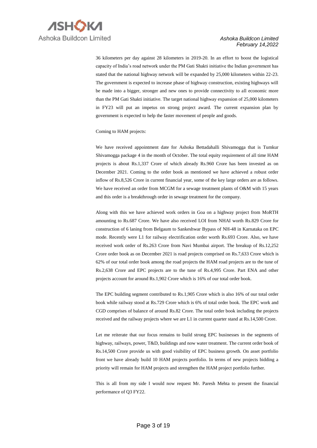

36 kilometers per day against 28 kilometers in 2019-20. In an effort to boost the logistical capacity of India's road network under the PM Gati Shakti initiative the Indian government has stated that the national highway network will be expanded by 25,000 kilometers within 22-23. The government is expected to increase phase of highway construction, existing highways will be made into a bigger, stronger and new ones to provide connectivity to all economic more than the PM Gati Shakti initiative. The target national highway expansion of 25,000 kilometers in FY23 will put an impetus on strong project award. The current expansion plan by government is expected to help the faster movement of people and goods.

#### Coming to HAM projects:

We have received appointment date for Ashoka Bettadahalli Shivamogga that is Tumkur Shivamogga package 4 in the month of October. The total equity requirement of all time HAM projects is about Rs.1,337 Crore of which already Rs.960 Crore has been invested as on December 2021. Coming to the order book as mentioned we have achieved a robust order inflow of Rs.8,526 Crore in current financial year, some of the key large orders are as follows. We have received an order from MCGM for a sewage treatment plants of O&M with 15 years and this order is a breakthrough order in sewage treatment for the company.

Along with this we have achieved work orders in Goa on a highway project from MoRTH amounting to Rs.687 Crore. We have also received LOI from NHAI worth Rs.829 Crore for construction of 6 laning from Belgaum to Sankeshwar Bypass of NH-48 in Karnataka on EPC mode. Recently were L1 for railway electrification order worth Rs.693 Crore. Also, we have received work order of Rs.263 Crore from Navi Mumbai airport. The breakup of Rs.12,252 Crore order book as on December 2021 is road projects comprised on Rs.7,633 Crore which is 62% of our total order book among the road projects the HAM road projects are to the tune of Rs.2,638 Crore and EPC projects are to the tune of Rs.4,995 Crore. Part ENA and other projects account for around Rs.1,902 Crore which is 16% of our total order book.

The EPC building segment contributed to Rs.1,905 Crore which is also 16% of our total order book while railway stood at Rs.729 Crore which is 6% of total order book. The EPC work and CGD comprises of balance of around Rs.82 Crore. The total order book including the projects received and the railway projects where we are L1 in current quarter stand at Rs.14,500 Crore.

Let me reiterate that our focus remains to build strong EPC businesses in the segments of highway, railways, power, T&D, buildings and now water treatment. The current order book of Rs.14,500 Crore provide us with good visibility of EPC business growth. On asset portfolio front we have already build 10 HAM projects portfolio. In terms of new projects bidding a priority will remain for HAM projects and strengthen the HAM project portfolio further.

This is all from my side I would now request Mr. Paresh Mehta to present the financial performance of Q3 FY22.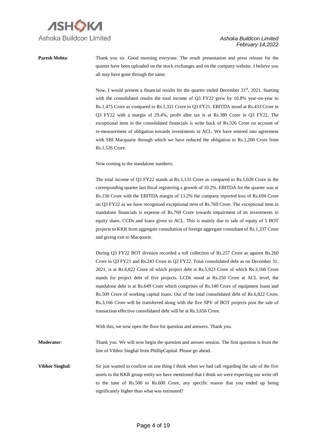

**Paresh Mehta**: Thank you sir. Good morning everyone. The result presentation and press release for the quarter have been uploaded on the stock exchanges and on the company website. I believe you all may have gone through the same.

> Now, I would present a financial results for the quarter ended December  $31<sup>st</sup>$ , 2021. Starting with the consolidated results the total income of Q3 FY22 grew by 10.8% year-on-year to Rs.1,475 Crore as compared to Rs.1,331 Crore in Q3 FY21. EBITDA stood at Rs.433 Crore in Q3 FY22 with a margin of 29.4%, profit after tax is at Rs.389 Crore in Q3 FY22. The exceptional item in the consolidated financials is write back of Rs.326 Crore on account of re-measurement of obligation towards investments in ACL. We have entered into agreement with SBI Macquarie through which we have reduced the obligation to Rs.1,200 Crore from Rs.1,526 Crore.

Now coming to the standalone numbers:

The total income of Q3 FY22 stands at Rs.1,133 Crore as compared to Rs.1,028 Crore in the corresponding quarter last fiscal registering a growth of 10.2%. EBITDA for the quarter was at Rs.150 Crore with the EBITDA margin of 13.2% the company reported loss of Rs.694 Crore on Q3 FY22 as we have recognized exceptional item of Rs.769 Crore. The exceptional item in standalone financials is expense of Rs.769 Crore towards impairment of its investments in equity share, CCDs and loans given to ACL. This is mainly due to sale of equity of 5 BOT projects to KKR from aggregate consultation of foreign aggregate consultant of Rs.1,337 Crore and giving exit to Macquarie.

During Q3 FY22 BOT division recorded a toll collection of Rs.257 Crore as against Rs.260 Crore in Q3 FY21 and Rs.243 Crore in Q2 FY22. Total consolidated debt as on December 31, 2021, is at Rs.6,822 Crore of which project debt is Rs.5,923 Crore of which Rs.3,166 Crore stands for project debt of five projects. LCDs stood at Rs.250 Crore at ACL level, the standalone debt is at Rs.649 Crore which comprises of Rs.140 Crore of equipment loans and Rs.509 Crore of working capital loans. Out of the total consolidated debt of Rs.6,822 Crore, Rs.3,166 Crore will be transferred along with the five SPV of BOT projects post the sale of transaction effective consolidated debt will be at Rs.3,656 Crore.

With this, we now open the floor for question and answers. Thank you.

**Moderator**: Thank you. We will now begin the question and answer session. The first question is from the line of Vibhor Singhal from PhillipCapital. Please go ahead.

**Vibhor Singhal**: Sir just wanted to confirm on one thing I think when we had call regarding the sale of the five assets to the KKR group entity we have mentioned that I think we were expecting our write off to the tune of Rs.500 to Rs.600 Crore, any specific reason that you ended up being significantly higher than what was estimated?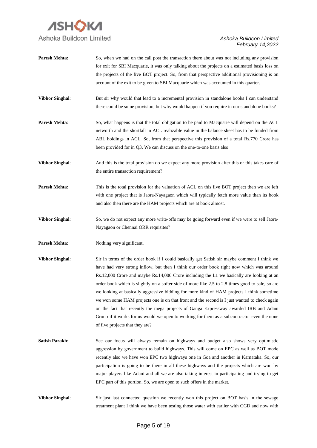

| <b>Paresh Mehta:</b>   | So, when we had on the call post the transaction there about was not including any provision<br>for exit for SBI Macquarie, it was only talking about the projects on a estimated basis loss on<br>the projects of the five BOT project. So, from that perspective additional provisioning is on<br>account of the exit to be given to SBI Macquarie which was accounted in this quarter.                                                                                                                                                                                                                                                                                                                                                                                                                       |
|------------------------|-----------------------------------------------------------------------------------------------------------------------------------------------------------------------------------------------------------------------------------------------------------------------------------------------------------------------------------------------------------------------------------------------------------------------------------------------------------------------------------------------------------------------------------------------------------------------------------------------------------------------------------------------------------------------------------------------------------------------------------------------------------------------------------------------------------------|
| <b>Vibhor Singhal:</b> | But sir why would that lead to a incremental provision in standalone books I can understand<br>there could be some provision, but why would happen if you require in our standalone books?                                                                                                                                                                                                                                                                                                                                                                                                                                                                                                                                                                                                                      |
| Paresh Mehta:          | So, what happens is that the total obligation to be paid to Macquarie will depend on the ACL<br>networth and the shortfall in ACL realizable value in the balance sheet has to be funded from<br>ABL holdings in ACL. So, from that perspective this provision of a total Rs.770 Crore has<br>been provided for in Q3. We can discuss on the one-to-one basis also.                                                                                                                                                                                                                                                                                                                                                                                                                                             |
| <b>Vibhor Singhal:</b> | And this is the total provision do we expect any more provision after this or this takes care of<br>the entire transaction requirement?                                                                                                                                                                                                                                                                                                                                                                                                                                                                                                                                                                                                                                                                         |
| Paresh Mehta:          | This is the total provision for the valuation of ACL on this five BOT project then we are left<br>with one project that is Jaora-Nayagaon which will typically fetch more value than its book<br>and also then there are the HAM projects which are at book almost.                                                                                                                                                                                                                                                                                                                                                                                                                                                                                                                                             |
| <b>Vibhor Singhal:</b> | So, we do not expect any more write-offs may be going forward even if we were to sell Jaora-<br>Nayagaon or Chennai ORR requisites?                                                                                                                                                                                                                                                                                                                                                                                                                                                                                                                                                                                                                                                                             |
| Paresh Mehta:          | Nothing very significant.                                                                                                                                                                                                                                                                                                                                                                                                                                                                                                                                                                                                                                                                                                                                                                                       |
| <b>Vibhor Singhal:</b> | Sir in terms of the order book if I could basically get Satish sir maybe comment I think we<br>have had very strong inflow, but then I think our order book right now which was around<br>Rs.12,000 Crore and maybe Rs.14,000 Crore including the L1 we basically are looking at an<br>order book which is slightly on a softer side of more like 2.5 to 2.8 times good to sale, so are<br>we looking at basically aggressive bidding for more kind of HAM projects I think sometime<br>we won some HAM projects one is on that front and the second is I just wanted to check again<br>on the fact that recently the mega projects of Ganga Expressway awarded IRB and Adani<br>Group if it works for us would we open to working for them as a subcontractor even the none<br>of five projects that they are? |
| <b>Satish Parakh:</b>  | See our focus will always remain on highways and budget also shows very optimistic<br>aggression by government to build highways. This will come on EPC as well as BOT mode<br>recently also we have won EPC two highways one in Goa and another in Karnataka. So, our<br>participation is going to be there in all these highways and the projects which are won by<br>major players like Adani and all we are also taking interest in participating and trying to get<br>EPC part of this portion. So, we are open to such offers in the market.                                                                                                                                                                                                                                                              |
| <b>Vibhor Singhal:</b> | Sir just last connected question we recently won this project on BOT basis in the sewage<br>treatment plant I think we have been testing those water with earlier with CGD and now with                                                                                                                                                                                                                                                                                                                                                                                                                                                                                                                                                                                                                         |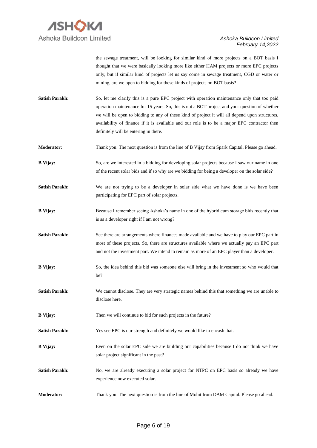

the sewage treatment, will be looking for similar kind of more projects on a BOT basis I thought that we were basically looking more like either HAM projects or more EPC projects only, but if similar kind of projects let us say come in sewage treatment, CGD or water or mining, are we open to bidding for these kinds of projects on BOT basis?

- **Satish Parakh:** So, let me clarify this is a pure EPC project with operation maintenance only that too paid operation maintenance for 15 years. So, this is not a BOT project and your question of whether we will be open to bidding to any of these kind of project it will all depend upon structures, availability of finance if it is available and our role is to be a major EPC contractor then definitely will be entering in there.
- **Moderator:** Thank you. The next question is from the line of B Vijay from Spark Capital. Please go ahead.
- **B Vijay:** So, are we interested in a bidding for developing solar projects because I saw our name in one of the recent solar bids and if so why are we bidding for being a developer on the solar side?
- Satish Parakh: We are not trying to be a developer in solar side what we have done is we have been participating for EPC part of solar projects.
- **B Vijay:** Because I remember seeing Ashoka's name in one of the hybrid cum storage bids recently that is as a developer right if I am not wrong?
- Satish Parakh: See there are arrangements where finances made available and we have to play our EPC part in most of these projects. So, there are structures available where we actually pay an EPC part and not the investment part. We intend to remain as more of an EPC player than a developer.
- **B Vijay:** So, the idea behind this bid was someone else will bring in the investment so who would that be?
- **Satish Parakh:** We cannot disclose. They are very strategic names behind this that something we are unable to disclose here.
- **B Vijay:** Then we will continue to bid for such projects in the future?
- **Satish Parakh:** Yes see EPC is our strength and definitely we would like to encash that.
- **B Vijay:** Even on the solar EPC side we are building our capabilities because I do not think we have solar project significant in the past?
- Satish Parakh: No, we are already executing a solar project for NTPC on EPC basis so already we have experience now executed solar.
- **Moderator:** Thank you. The next question is from the line of Mohit from DAM Capital. Please go ahead.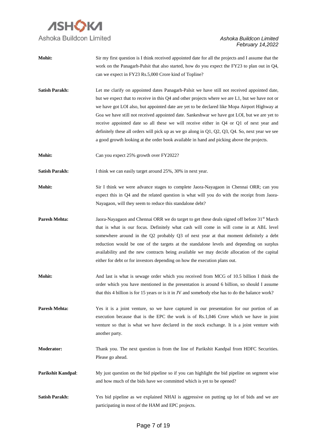

| Mohit:                | Sir my first question is I think received appointed date for all the projects and I assume that the<br>work on the Panagarh-Palsit that also started, how do you expect the FY23 to plan out in $Q4$ ,<br>can we expect in FY23 Rs.5,000 Crore kind of Topline?                                                                                                                                                                                                                                                                                                                                                                                                                                        |
|-----------------------|--------------------------------------------------------------------------------------------------------------------------------------------------------------------------------------------------------------------------------------------------------------------------------------------------------------------------------------------------------------------------------------------------------------------------------------------------------------------------------------------------------------------------------------------------------------------------------------------------------------------------------------------------------------------------------------------------------|
| <b>Satish Parakh:</b> | Let me clarify on appointed dates Panagarh-Palsit we have still not received appointed date,<br>but we expect that to receive in this Q4 and other projects where we are L1, but we have not or<br>we have got LOI also, but appointed date are yet to be declared like Mopa Airport Highway at<br>Goa we have still not received appointed date. Sankeshwar we have got LOI, but we are yet to<br>receive appointed date so all these we will receive either in Q4 or Q1 of next year and<br>definitely these all orders will pick up as we go along in $Q1$ , $Q2$ , $Q3$ , $Q4$ . So, next year we see<br>a good growth looking at the order book available in hand and picking above the projects. |
| Mohit:                | Can you expect 25% growth over FY2022?                                                                                                                                                                                                                                                                                                                                                                                                                                                                                                                                                                                                                                                                 |
| <b>Satish Parakh:</b> | I think we can easily target around 25%, 30% in next year.                                                                                                                                                                                                                                                                                                                                                                                                                                                                                                                                                                                                                                             |
| Mohit:                | Sir I think we were advance stages to complete Jaora-Nayagaon in Chennai ORR; can you<br>expect this in Q4 and the related question is what will you do with the receipt from Jaora-<br>Nayagaon, will they seem to reduce this standalone debt?                                                                                                                                                                                                                                                                                                                                                                                                                                                       |
| <b>Paresh Mehta:</b>  | Jaora-Nayagaon and Chennai ORR we do target to get these deals signed off before 31 <sup>st</sup> March<br>that is what is our focus. Definitely what cash will come in will come in at ABL level<br>somewhere around in the Q2 probably Q3 of next year at that moment definitely a debt<br>reduction would be one of the targets at the standalone levels and depending on surplus<br>availability and the new contracts being available we may decide allocation of the capital<br>either for debt or for investors depending on how the execution plans out.                                                                                                                                       |
| Mohit:                | And last is what is sewage order which you received from MCG of 10.5 billion I think the<br>order which you have mentioned in the presentation is around 6 billion, so should I assume<br>that this 4 billion is for 15 years or is it in JV and somebody else has to do the balance work?                                                                                                                                                                                                                                                                                                                                                                                                             |
| <b>Paresh Mehta:</b>  | Yes it is a joint venture, so we have captured in our presentation for our portion of an<br>execution because that is the EPC the work is of Rs.1,046 Crore which we have in joint<br>venture so that is what we have declared in the stock exchange. It is a joint venture with<br>another party.                                                                                                                                                                                                                                                                                                                                                                                                     |
| <b>Moderator:</b>     | Thank you. The next question is from the line of Parikshit Kandpal from HDFC Securities.<br>Please go ahead.                                                                                                                                                                                                                                                                                                                                                                                                                                                                                                                                                                                           |
| Parikshit Kandpal:    | My just question on the bid pipeline so if you can highlight the bid pipeline on segment wise<br>and how much of the bids have we committed which is yet to be opened?                                                                                                                                                                                                                                                                                                                                                                                                                                                                                                                                 |
| <b>Satish Parakh:</b> | Yes bid pipeline as we explained NHAI is aggressive on putting up lot of bids and we are<br>participating in most of the HAM and EPC projects.                                                                                                                                                                                                                                                                                                                                                                                                                                                                                                                                                         |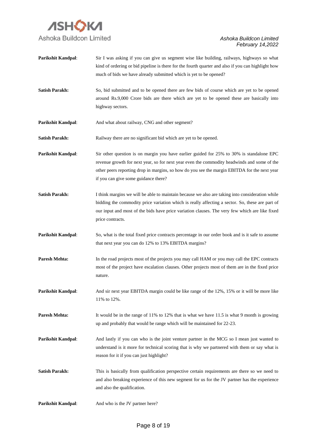

| Parikshit Kandpal:        | Sir I was asking if you can give us segment wise like building, railways, highways so what<br>kind of ordering or bid pipeline is there for the fourth quarter and also if you can highlight how<br>much of bids we have already submitted which is yet to be opened?                                                           |
|---------------------------|---------------------------------------------------------------------------------------------------------------------------------------------------------------------------------------------------------------------------------------------------------------------------------------------------------------------------------|
| <b>Satish Parakh:</b>     | So, bid submitted and to be opened there are few bids of course which are yet to be opened<br>around Rs.9,000 Crore bids are there which are yet to be opened these are basically into<br>highway sectors.                                                                                                                      |
| Parikshit Kandpal:        | And what about railway, CNG and other segment?                                                                                                                                                                                                                                                                                  |
| <b>Satish Parakh:</b>     | Railway there are no significant bid which are yet to be opened.                                                                                                                                                                                                                                                                |
| Parikshit Kandpal:        | Sir other question is on margin you have earlier guided for 25% to 30% is standalone EPC<br>revenue growth for next year, so for next year even the commodity headwinds and some of the<br>other peers reporting drop in margins, so how do you see the margin EBITDA for the next year<br>if you can give some guidance there? |
| <b>Satish Parakh:</b>     | I think margins we will be able to maintain because we also are taking into consideration while<br>bidding the commodity price variation which is really affecting a sector. So, these are part of<br>our input and most of the bids have price variation clauses. The very few which are like fixed<br>price contracts.        |
| Parikshit Kandpal:        | So, what is the total fixed price contracts percentage in our order book and is it safe to assume<br>that next year you can do 12% to 13% EBITDA margins?                                                                                                                                                                       |
| <b>Paresh Mehta:</b>      | In the road projects most of the projects you may call HAM or you may call the EPC contracts<br>most of the project have escalation clauses. Other projects most of them are in the fixed price<br>nature.                                                                                                                      |
| <b>Parikshit Kandpal:</b> | And sir next year EBITDA margin could be like range of the 12%, 15% or it will be more like<br>11% to 12%.                                                                                                                                                                                                                      |
| <b>Paresh Mehta:</b>      | It would be in the range of 11% to 12% that is what we have 11.5 is what 9 month is growing<br>up and probably that would be range which will be maintained for 22-23.                                                                                                                                                          |
| <b>Parikshit Kandpal:</b> | And lastly if you can who is the joint venture partner in the MCG so I mean just wanted to<br>understand is it more for technical scoring that is why we partnered with them or say what is<br>reason for it if you can just highlight?                                                                                         |
| <b>Satish Parakh:</b>     | This is basically from qualification perspective certain requirements are there so we need to<br>and also breaking experience of this new segment for us for the JV partner has the experience<br>and also the qualification.                                                                                                   |
| Parikshit Kandpal:        | And who is the JV partner here?                                                                                                                                                                                                                                                                                                 |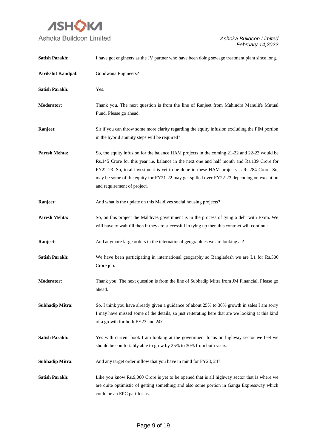

| <b>Satish Parakh:</b>  | I have got engineers as the JV partner who have been doing sewage treatment plant since long.                                                                                                                                                                                                                                                                                                                        |
|------------------------|----------------------------------------------------------------------------------------------------------------------------------------------------------------------------------------------------------------------------------------------------------------------------------------------------------------------------------------------------------------------------------------------------------------------|
| Parikshit Kandpal:     | Gondwana Engineers?                                                                                                                                                                                                                                                                                                                                                                                                  |
| <b>Satish Parakh:</b>  | Yes.                                                                                                                                                                                                                                                                                                                                                                                                                 |
| <b>Moderator:</b>      | Thank you. The next question is from the line of Ranjeet from Mahindra Manulife Mutual<br>Fund. Please go ahead.                                                                                                                                                                                                                                                                                                     |
| Ranjeet:               | Sir if you can throw some more clarity regarding the equity infusion excluding the PIM portion<br>in the hybrid annuity steps will be required?                                                                                                                                                                                                                                                                      |
| <b>Paresh Mehta:</b>   | So, the equity infusion for the balance HAM projects in the coming 21-22 and 22-23 would be<br>Rs.145 Crore for this year i.e. balance in the next one and half month and Rs.139 Crore for<br>FY22-23. So, total investment is yet to be done in these HAM projects is Rs.284 Crore. So,<br>may be some of the equity for FY21-22 may get spilled over FY22-23 depending on execution<br>and requirement of project. |
| Ranjeet:               | And what is the update on this Maldives social housing projects?                                                                                                                                                                                                                                                                                                                                                     |
| <b>Paresh Mehta:</b>   | So, on this project the Maldives government is in the process of tying a debt with Exim. We<br>will have to wait till then if they are successful in tying up then this contract will continue.                                                                                                                                                                                                                      |
| Ranjeet:               | And anymore large orders in the international geographies we are looking at?                                                                                                                                                                                                                                                                                                                                         |
| <b>Satish Parakh:</b>  | We have been participating in international geography so Bangladesh we are L1 for Rs.500<br>Crore job.                                                                                                                                                                                                                                                                                                               |
| <b>Moderator:</b>      | Thank you. The next question is from the line of Subhadip Mitra from JM Financial. Please go<br>ahead.                                                                                                                                                                                                                                                                                                               |
| <b>Subhadip Mitra:</b> | So, I think you have already given a guidance of about 25% to 30% growth in sales I am sorry<br>I may have missed some of the details, so just reiterating here that are we looking at this kind<br>of a growth for both FY23 and 24?                                                                                                                                                                                |
| <b>Satish Parakh:</b>  | Yes with current book I am looking at the government focus on highway sector we feel we<br>should be comfortably able to grow by 25% to 30% from both years.                                                                                                                                                                                                                                                         |
| <b>Subhadip Mitra:</b> | And any target order inflow that you have in mind for FY23, 24?                                                                                                                                                                                                                                                                                                                                                      |
| <b>Satish Parakh:</b>  | Like you know Rs.9,000 Crore is yet to be opened that is all highway sector that is where we<br>are quite optimistic of getting something and also some portion in Ganga Expressway which<br>could be an EPC part for us.                                                                                                                                                                                            |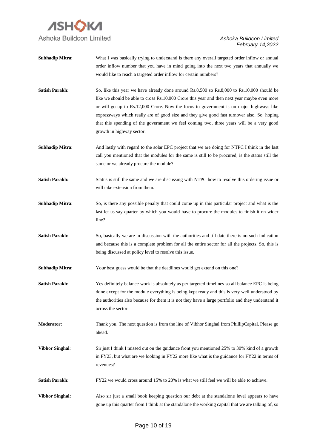

- **Subhadip Mitra:** What I was basically trying to understand is there any overall targeted order inflow or annual order inflow number that you have in mind going into the next two years that annually we would like to reach a targeted order inflow for certain numbers?
- Satish Parakh: So, like this year we have already done around Rs.8,500 so Rs.8,000 to Rs.10,000 should be like we should be able to cross Rs.10,000 Crore this year and then next year maybe even more or will go up to Rs.12,000 Crore. Now the focus to government is on major highways like expressways which really are of good size and they give good fast turnover also. So, hoping that this spending of the government we feel coming two, three years will be a very good growth in highway sector.
- **Subhadip Mitra:** And lastly with regard to the solar EPC project that we are doing for NTPC I think in the last call you mentioned that the modules for the same is still to be procured, is the status still the same or we already procure the module?
- **Satish Parakh:** Status is still the same and we are discussing with NTPC how to resolve this ordering issue or will take extension from them.
- **Subhadip Mitra:** So, is there any possible penalty that could come up in this particular project and what is the last let us say quarter by which you would have to procure the modules to finish it on wider line?
- **Satish Parakh:** So, basically we are in discussion with the authorities and till date there is no such indication and because this is a complete problem for all the entire sector for all the projects. So, this is being discussed at policy level to resolve this issue.
- **Subhadip Mitra**: Your best guess would be that the deadlines would get extend on this one?
- **Satish Parakh:** Yes definitely balance work is absolutely as per targeted timelines so all balance EPC is being done except for the module everything is being kept ready and this is very well understood by the authorities also because for them it is not they have a large portfolio and they understand it across the sector.
- **Moderator:** Thank you. The next question is from the line of Vibhor Singhal from PhillipCapital. Please go ahead.
- **Vibhor Singhal**: Sir just I think I missed out on the guidance front you mentioned 25% to 30% kind of a growth in FY23, but what are we looking in FY22 more like what is the guidance for FY22 in terms of revenues?
- **Satish Parakh:** FY22 we would cross around 15% to 20% is what we still feel we will be able to achieve.
- **Vibhor Singhal:** Also sir just a small book keeping question our debt at the standalone level appears to have gone up this quarter from I think at the standalone the working capital that we are talking of, so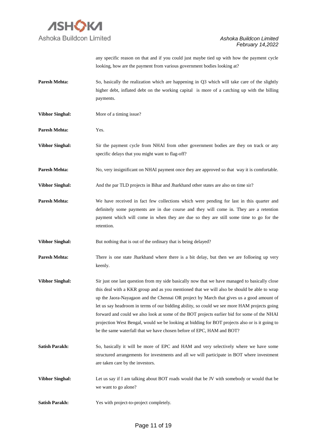

any specific reason on that and if you could just maybe tied up with how the payment cycle looking, how are the payment from various government bodies looking at?

- **Paresh Mehta:** So, basically the realization which are happening in Q3 which will take care of the slightly higher debt, inflated debt on the working capital is more of a catching up with the billing payments.
- **Vibhor Singhal:** More of a timing issue?

**Paresh Mehta:** Yes.

**Vibhor Singhal:** Sir the payment cycle from NHAI from other government bodies are they on track or any specific delays that you might want to flag-off?

**Paresh Mehta:** No, very insignificant on NHAI payment once they are approved so that way it is comfortable.

Vibhor Singhal: And the par TLD projects in Bihar and Jharkhand other states are also on time sir?

Paresh Mehta: We have received in fact few collections which were pending for last in this quarter and definitely some payments are in due course and they will come in. They are a retention payment which will come in when they are due so they are still some time to go for the retention.

**Vibhor Singhal:** But nothing that is out of the ordinary that is being delayed?

**Paresh Mehta:** There is one state Jharkhand where there is a bit delay, but then we are folloeing up very keenly.

- **Vibhor Singhal:** Sir just one last question from my side basically now that we have managed to basically close this deal with a KKR group and as you mentioned that we will also be should be able to wrap up the Jaora-Nayagaon and the Chennai OR project by March that gives us a good amount of let us say headroom in terms of our bidding ability, so could we see more HAM projects going forward and could we also look at some of the BOT projects earlier bid for some of the NHAI projection West Bengal, would we be looking at bidding for BOT projects also or is it going to be the same waterfall that we have chosen before of EPC, HAM and BOT?
- Satish Parakh: So, basically it will be more of EPC and HAM and very selectively where we have some structured arrangements for investments and all we will participate in BOT where investment are taken care by the investors.

**Vibhor Singhal:** Let us say if I am talking about BOT roads would that be JV with somebody or would that be we want to go alone?

Satish Parakh: Yes with project-to-project completely.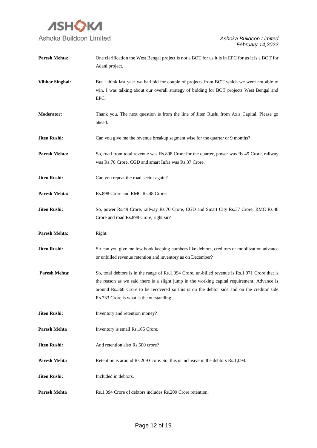

| <b>Paresh Mehta:</b>   | One clarification the West Bengal project is not a BOT for us it is in EPC for us it is a BOT for<br>Adani project.                                                                                                                                                                                                                       |
|------------------------|-------------------------------------------------------------------------------------------------------------------------------------------------------------------------------------------------------------------------------------------------------------------------------------------------------------------------------------------|
| <b>Vibhor Singhal:</b> | But I think last year we had bid for couple of projects from BOT which we were not able to<br>win, I was talking about our overall strategy of bidding for BOT projects West Bengal and<br>EPC.                                                                                                                                           |
| <b>Moderator:</b>      | Thank you. The next question is from the line of Jiten Rushi from Axis Capital. Please go<br>ahead.                                                                                                                                                                                                                                       |
| <b>Jiten Rushi:</b>    | Can you give me the revenue breakup segment wise for the quarter or 9 months?                                                                                                                                                                                                                                                             |
| Paresh Mehta:          | So, road front total revenue was Rs.898 Crore for the quarter, power was Rs.49 Crore, railway<br>was Rs.70 Crore, CGD and smart Infra was Rs.37 Crore.                                                                                                                                                                                    |
| <b>Jiten Rushi:</b>    | Can you repeat the road sector again?                                                                                                                                                                                                                                                                                                     |
| <b>Paresh Mehta:</b>   | Rs.898 Crore and RMC Rs.48 Crore.                                                                                                                                                                                                                                                                                                         |
| <b>Jiten Rushi:</b>    | So, power Rs.49 Crore, railway Rs.70 Crore, CGD and Smart City Rs.37 Crore, RMC Rs.48<br>Crore and road Rs.898 Crore, right sir?                                                                                                                                                                                                          |
| <b>Paresh Mehta:</b>   | Right.                                                                                                                                                                                                                                                                                                                                    |
| <b>Jiten Rushi:</b>    | Sir can you give me few book keeping numbers like debtors, creditors or mobilization advance<br>or unbilled revenue retention and inventory as on December?                                                                                                                                                                               |
| <b>Paresh Mehta:</b>   | So, total debtors is in the range of Rs.1,094 Crore, un-billed revenue is Rs.1,071 Crore that is<br>the reason as we said there is a slight jump in the working capital requirement. Advance is<br>around Rs.360 Crore to be recovered so this is on the debtor side and on the creditor side<br>Rs.733 Crore is what is the outstanding. |
| <b>Jiten Rushi:</b>    | Inventory and retention money?                                                                                                                                                                                                                                                                                                            |
| <b>Paresh Mehta</b>    | Inventory is small Rs.165 Crore.                                                                                                                                                                                                                                                                                                          |
| <b>Jiten Rushi:</b>    | And retention also Rs.500 crore?                                                                                                                                                                                                                                                                                                          |
| <b>Paresh Mehta</b>    | Retention is around Rs.209 Crore. So, this is inclusive in the debtors Rs.1,094.                                                                                                                                                                                                                                                          |
| <b>Jiten Rushi:</b>    | Included in debtors.                                                                                                                                                                                                                                                                                                                      |
| <b>Paresh Mehta</b>    | Rs.1,094 Crore of debtors includes Rs.209 Crore retention.                                                                                                                                                                                                                                                                                |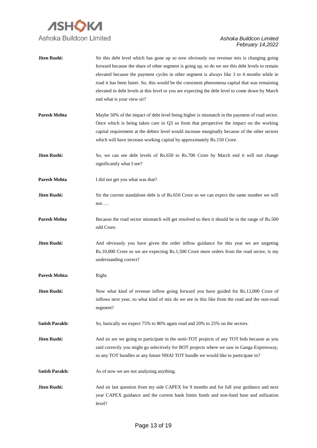

| <b>Jiten Rushi:</b>   | Sir this debt level which has gone up so now obviously our revenue mix is changing going<br>forward because the share of other segment is going up, so do we see this debt levels to remain<br>elevated because the payment cycles in other segment is always like 3 to 4 months while in<br>road it has been faster. So, this would be the consistent phenomena capital that was remaining<br>elevated in debt levels at this level or you are expecting the debt level to come down by March<br>end what is your view sir? |
|-----------------------|------------------------------------------------------------------------------------------------------------------------------------------------------------------------------------------------------------------------------------------------------------------------------------------------------------------------------------------------------------------------------------------------------------------------------------------------------------------------------------------------------------------------------|
| <b>Paresh Mehta</b>   | Maybe 50% of the impact of debt level being higher is mismatch in the payment of road sector.<br>Once which is being taken care in Q3 so from that perspective the impact on the working<br>capital requirement at the debtor level would increase marginally because of the other sectors<br>which will have increase working capital by approximately Rs.150 Crore.                                                                                                                                                        |
| <b>Jiten Rushi:</b>   | So, we can see debt levels of Rs.650 to Rs.700 Crore by March end it will not change<br>significantly what I see?                                                                                                                                                                                                                                                                                                                                                                                                            |
| <b>Paresh Mehta</b>   | I did not get you what was that?                                                                                                                                                                                                                                                                                                                                                                                                                                                                                             |
| <b>Jiten Rushi:</b>   | Sir the current standalone debt is of Rs.650 Crore so we can expect the same number we will<br>not                                                                                                                                                                                                                                                                                                                                                                                                                           |
| <b>Paresh Mehta</b>   | Because the road sector mismatch will get resolved so then it should be in the range of Rs.500<br>odd Crore.                                                                                                                                                                                                                                                                                                                                                                                                                 |
| <b>Jiten Rushi:</b>   | And obviously you have given the order inflow guidance for this year we are targeting<br>Rs.10,000 Crore so we are expecting Rs.1,500 Crore more orders from the road sector, is my<br>understanding correct?                                                                                                                                                                                                                                                                                                                |
| <b>Paresh Mehta:</b>  | Right.                                                                                                                                                                                                                                                                                                                                                                                                                                                                                                                       |
| Jiten Rushi:          | Now what kind of revenue inflow going forward you have guided for Rs.12,000 Crore of<br>inflows next year, so what kind of mix do we see in this like from the road and the non-road<br>segment?                                                                                                                                                                                                                                                                                                                             |
| <b>Satish Parakh:</b> | So, basically we expect 75% to 80% again road and 20% to 25% on the sectors.                                                                                                                                                                                                                                                                                                                                                                                                                                                 |
| <b>Jiten Rushi:</b>   | And sir are we going to participate in the semi-TOT projects of any TOT bids because as you<br>said correctly you might go selectively for BOT projects where we saw in Ganga Expressway,<br>so any TOT bundles or any future NHAI TOT bundle we would like to participate in?                                                                                                                                                                                                                                               |
| <b>Satish Parakh:</b> | As of now we are not analyzing anything.                                                                                                                                                                                                                                                                                                                                                                                                                                                                                     |
| <b>Jiten Rushi:</b>   | And sir last question from my side CAPEX for 9 months and for full year guidance and next<br>year CAPEX guidance and the current bank limits funds and non-fund base and utilization<br>level?                                                                                                                                                                                                                                                                                                                               |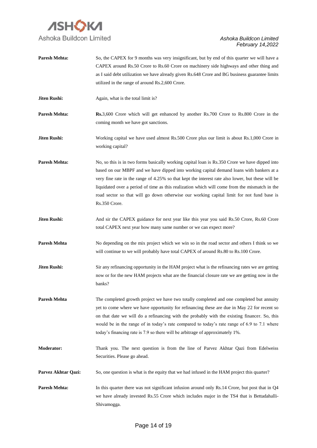

| <b>Paresh Mehta:</b> | So, the CAPEX for 9 months was very insignificant, but by end of this quarter we will have a                                                                                                                                                                                                                                                                                                                                                                                                                   |
|----------------------|----------------------------------------------------------------------------------------------------------------------------------------------------------------------------------------------------------------------------------------------------------------------------------------------------------------------------------------------------------------------------------------------------------------------------------------------------------------------------------------------------------------|
|                      | CAPEX around Rs.50 Crore to Rs.60 Crore on machinery side highways and other thing and                                                                                                                                                                                                                                                                                                                                                                                                                         |
|                      | as I said debt utilization we have already given Rs.648 Crore and BG business guarantee limits                                                                                                                                                                                                                                                                                                                                                                                                                 |
|                      | utilized in the range of around Rs.2,600 Crore.                                                                                                                                                                                                                                                                                                                                                                                                                                                                |
| <b>Jiten Rushi:</b>  | Again, what is the total limit is?                                                                                                                                                                                                                                                                                                                                                                                                                                                                             |
| <b>Paresh Mehta:</b> | <b>Rs.</b> 3,600 Crore which will get enhanced by another Rs.700 Crore to Rs.800 Crore in the<br>coming month we have got sanctions.                                                                                                                                                                                                                                                                                                                                                                           |
| <b>Jiten Rushi:</b>  | Working capital we have used almost Rs.500 Crore plus our limit is about Rs.1,000 Crore in<br>working capital?                                                                                                                                                                                                                                                                                                                                                                                                 |
| <b>Paresh Mehta:</b> | No, so this is in two forms basically working capital loan is Rs.350 Crore we have dipped into<br>based on our MBPF and we have dipped into working capital demand loans with bankers at a<br>very fine rate in the range of 4.25% so that kept the interest rate also lower, but these will be<br>liquidated over a period of time as this realization which will come from the mismatch in the<br>road sector so that will go down otherwise our working capital limit for not fund base is<br>Rs.350 Crore. |
| <b>Jiten Rushi:</b>  | And sir the CAPEX guidance for next year like this year you said Rs.50 Crore, Rs.60 Crore<br>total CAPEX next year how many same number or we can expect more?                                                                                                                                                                                                                                                                                                                                                 |
| <b>Paresh Mehta</b>  | No depending on the mix project which we win so in the road sector and others I think so we<br>will continue to we will probably have total CAPEX of around Rs.80 to Rs.100 Crore.                                                                                                                                                                                                                                                                                                                             |
| <b>Jiten Rushi:</b>  | Sir any refinancing opportunity in the HAM project what is the refinancing rates we are getting<br>now or for the new HAM projects what are the financial closure rate we are getting now in the<br>banks?                                                                                                                                                                                                                                                                                                     |
| <b>Paresh Mehta</b>  | The completed growth project we have two totally completed and one completed but annuity<br>yet to come where we have opportunity for refinancing these are due in May 22 for recent so<br>on that date we will do a refinancing with the probably with the existing financer. So, this<br>would be in the range of in today's rate compared to today's rate range of 6.9 to 7.1 where<br>today's financing rate is 7.9 so there will be arbitrage of approximately 1%.                                        |
| <b>Moderator:</b>    | Thank you. The next question is from the line of Parvez Akhtar Qazi from Edelweiss<br>Securities. Please go ahead.                                                                                                                                                                                                                                                                                                                                                                                             |
| Parvez Akhtar Qazi:  | So, one question is what is the equity that we had infused in the HAM project this quarter?                                                                                                                                                                                                                                                                                                                                                                                                                    |
| <b>Paresh Mehta:</b> | In this quarter there was not significant infusion around only Rs.14 Crore, but post that in Q4<br>we have already invested Rs.55 Crore which includes major in the TS4 that is Bettadahalli-<br>Shivamogga.                                                                                                                                                                                                                                                                                                   |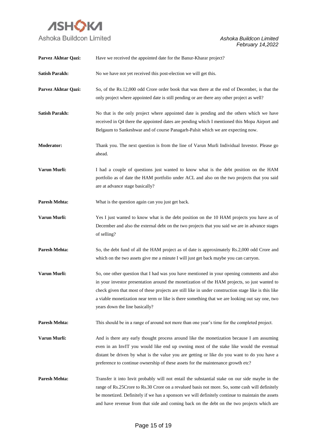

| Parvez Akhtar Qazi:   | Have we received the appointed date for the Banur-Kharar project?                                                                                                                                                                                                                                                                                                                                                                       |
|-----------------------|-----------------------------------------------------------------------------------------------------------------------------------------------------------------------------------------------------------------------------------------------------------------------------------------------------------------------------------------------------------------------------------------------------------------------------------------|
| <b>Satish Parakh:</b> | No we have not yet received this post-election we will get this.                                                                                                                                                                                                                                                                                                                                                                        |
| Parvez Akhtar Qazi:   | So, of the Rs.12,000 odd Crore order book that was there at the end of December, is that the<br>only project where appointed date is still pending or are there any other project as well?                                                                                                                                                                                                                                              |
| <b>Satish Parakh:</b> | No that is the only project where appointed date is pending and the others which we have<br>received in Q4 there the appointed dates are pending which I mentioned this Mopa Airport and<br>Belgaum to Sankeshwar and of course Panagarh-Palsit which we are expecting now.                                                                                                                                                             |
| <b>Moderator:</b>     | Thank you. The next question is from the line of Varun Murli Individual Investor. Please go<br>ahead.                                                                                                                                                                                                                                                                                                                                   |
| Varun Murli:          | I had a couple of questions just wanted to know what is the debt position on the HAM<br>portfolio as of date the HAM portfolio under ACL and also on the two projects that you said<br>are at advance stage basically?                                                                                                                                                                                                                  |
| <b>Paresh Mehta:</b>  | What is the question again can you just get back.                                                                                                                                                                                                                                                                                                                                                                                       |
| Varun Murli:          | Yes I just wanted to know what is the debt position on the 10 HAM projects you have as of<br>December and also the external debt on the two projects that you said we are in advance stages<br>of selling?                                                                                                                                                                                                                              |
| <b>Paresh Mehta:</b>  | So, the debt fund of all the HAM project as of date is approximately Rs.2,000 odd Crore and<br>which on the two assets give me a minute I will just get back maybe you can carryon.                                                                                                                                                                                                                                                     |
| Varun Murli:          | So, one other question that I had was you have mentioned in your opening comments and also<br>in your investor presentation around the monetization of the HAM projects, so just wanted to<br>check given that most of these projects are still like in under construction stage like is this like<br>a viable monetization near term or like is there something that we are looking out say one, two<br>years down the line basically? |
| <b>Paresh Mehta:</b>  | This should be in a range of around not more than one year's time for the completed project.                                                                                                                                                                                                                                                                                                                                            |
| Varun Murli:          | And is there any early thought process around like the monetization because I am assuming<br>even in an InvIT you would like end up owning most of the stake like would the eventual<br>distant be driven by what is the value you are getting or like do you want to do you have a<br>preference to continue ownership of these assets for the maintenance growth etc?                                                                 |
| <b>Paresh Mehta:</b>  | Transfer it into Invit probably will not entail the substantial stake on our side maybe in the<br>range of Rs.25Crore to Rs.30 Crore on a revalued basis not more. So, some cash will definitely<br>be monetized. Definitely if we has a sponsors we will definitely continue to maintain the assets<br>and have revenue from that side and coming back on the debt on the two projects which are                                       |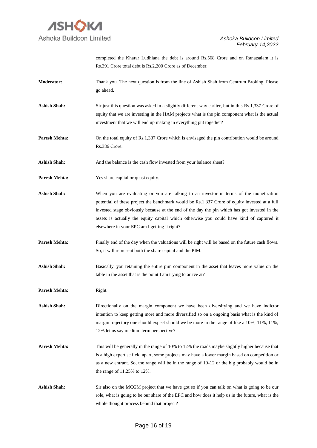

completed the Kharar Ludhiana the debt is around Rs.568 Crore and on Ranatsalam it is Rs.391 Crore total debt is Rs.2,200 Crore as of December.

- **Moderator:** Thank you. The next question is from the line of Ashish Shah from Centrum Broking. Please go ahead.
- **Ashish Shah:** Sir just this question was asked in a slightly different way earlier, but in this Rs.1,337 Crore of equity that we are investing in the HAM projects what is the pin component what is the actual investment that we will end up making in everything put together?
- **Paresh Mehta:** On the total equity of Rs.1,337 Crore which is envisaged the pin contribution would be around Rs.386 Crore.

Ashish Shah: And the balance is the cash flow invested from your balance sheet?

- **Paresh Mehta:** Yes share capital or quasi equity.
- Ashish Shah: When you are evaluating or you are talking to an investor in terms of the monetization potential of these project the benchmark would be Rs.1,337 Crore of equity invested at a full invested stage obviously because at the end of the day the pin which has got invested in the assets is actually the equity capital which otherwise you could have kind of captured it elsewhere in your EPC am I getting it right?
- **Paresh Mehta:** Finally end of the day when the valuations will be right will be based on the future cash flows. So, it will represent both the share capital and the PIM.
- Ashish Shah: Basically, you retaining the entire pim component in the asset that leaves more value on the table in the asset that is the point I am trying to arrive at?

Paresh Mehta: Right.

Ashish Shah: Directionally on the margin component we have been diversifying and we have indictor intention to keep getting more and more diversified so on a ongoing basis what is the kind of margin trajectory one should expect should we be more in the range of like a 10%, 11%, 11%, 12% let us say medium term perspective?

- **Paresh Mehta:** This will be generally in the range of 10% to 12% the roads maybe slightly higher because that is a high expertise field apart, some projects may have a lower margin based on competition or as a new entrant. So, the range will be in the range of 10-12 or the big probably would be in the range of 11.25% to 12%.
- Ashish Shah: Sir also on the MCGM project that we have got so if you can talk on what is going to be our role, what is going to be our share of the EPC and how does it help us in the future, what is the whole thought process behind that project?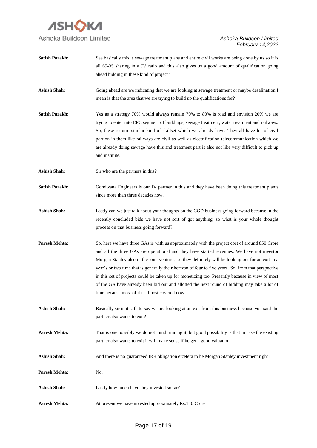

| <b>Satish Parakh:</b> | See basically this is sewage treatment plans and entire civil works are being done by us so it is   |
|-----------------------|-----------------------------------------------------------------------------------------------------|
|                       | all 65-35 sharing in a JV ratio and this also gives us a good amount of qualification going         |
|                       | ahead bidding in these kind of project?                                                             |
|                       |                                                                                                     |
| <b>Ashish Shah:</b>   | Going ahead are we indicating that we are looking at sewage treatment or maybe desalination I       |
|                       | mean is that the area that we are trying to build up the qualifications for?                        |
| <b>Satish Parakh:</b> | Yes as a strategy 70% would always remain 70% to 80% is road and envision 20% we are                |
|                       | trying to enter into EPC segment of buildings, sewage treatment, water treatment and railways.      |
|                       | So, these require similar kind of skillset which we already have. They all have lot of civil        |
|                       | portion in them like railways are civil as well as electrification telecommunication which we       |
|                       | are already doing sewage have this and treatment part is also not like very difficult to pick up    |
|                       | and institute.                                                                                      |
| <b>Ashish Shah:</b>   | Sir who are the partners in this?                                                                   |
| <b>Satish Parakh:</b> | Gondwana Engineers is our JV partner in this and they have been doing this treatment plants         |
|                       | since more than three decades now.                                                                  |
| <b>Ashish Shah:</b>   | Lastly can we just talk about your thoughts on the CGD business going forward because in the        |
|                       | recently concluded bids we have not sort of got anything, so what is your whole thought             |
|                       | process on that business going forward?                                                             |
| <b>Paresh Mehta:</b>  | So, here we have three GAs is with us approximately with the project cost of around 850 Crore       |
|                       | and all the three GAs are operational and they have started revenues. We have not investor          |
|                       | Morgan Stanley also in the joint venture, so they definitely will be looking out for an exit in a   |
|                       | year's or two time that is generally their horizon of four to five years. So, from that perspective |
|                       | in this set of projects could be taken up for monetizing too. Presently because in view of most     |
|                       | of the GA have already been bid out and allotted the next round of bidding may take a lot of        |
|                       | time because most of it is almost covered now.                                                      |
| <b>Ashish Shah:</b>   | Basically sir is it safe to say we are looking at an exit from this business because you said the   |
|                       | partner also wants to exit?                                                                         |
| <b>Paresh Mehta:</b>  | That is one possibly we do not mind running it, but good possibility is that in case the existing   |
|                       | partner also wants to exit it will make sense if he get a good valuation.                           |
| <b>Ashish Shah:</b>   | And there is no guaranteed IRR obligation etcetera to be Morgan Stanley investment right?           |
| <b>Paresh Mehta:</b>  | No.                                                                                                 |
| <b>Ashish Shah:</b>   | Lastly how much have they invested so far?                                                          |
| <b>Paresh Mehta:</b>  | At present we have invested approximately Rs.140 Crore.                                             |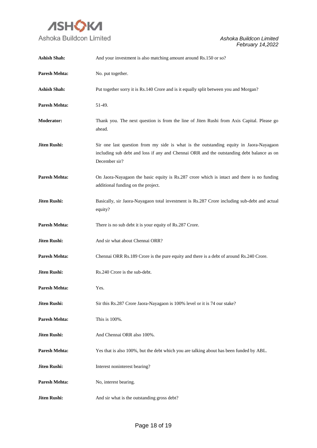

| <b>Ashish Shah:</b>  | And your investment is also matching amount around Rs.150 or so?                                                                                                                                     |
|----------------------|------------------------------------------------------------------------------------------------------------------------------------------------------------------------------------------------------|
| <b>Paresh Mehta:</b> | No. put together.                                                                                                                                                                                    |
| <b>Ashish Shah:</b>  | Put together sorry it is Rs.140 Crore and is it equally split between you and Morgan?                                                                                                                |
| <b>Paresh Mehta:</b> | 51-49.                                                                                                                                                                                               |
| <b>Moderator:</b>    | Thank you. The next question is from the line of Jiten Rushi from Axis Capital. Please go<br>ahead.                                                                                                  |
| <b>Jiten Rushi:</b>  | Sir one last question from my side is what is the outstanding equity in Jaora-Nayagaon<br>including sub debt and loss if any and Chennai ORR and the outstanding debt balance as on<br>December sir? |
| <b>Paresh Mehta:</b> | On Jaora-Nayagaon the basic equity is Rs.287 crore which is intact and there is no funding<br>additional funding on the project.                                                                     |
| <b>Jiten Rushi:</b>  | Basically, sir Jaora-Nayagaon total investment is Rs.287 Crore including sub-debt and actual<br>equity?                                                                                              |
| <b>Paresh Mehta:</b> | There is no sub debt it is your equity of Rs.287 Crore.                                                                                                                                              |
| Jiten Rushi:         | And sir what about Chennai ORR?                                                                                                                                                                      |
| <b>Paresh Mehta:</b> | Chennai ORR Rs.189 Crore is the pure equity and there is a debt of around Rs.240 Crore.                                                                                                              |
| Jiten Rushi:         | Rs.240 Crore is the sub-debt.                                                                                                                                                                        |
| <b>Paresh Mehta:</b> | Yes.                                                                                                                                                                                                 |
| Jiten Rushi:         | Sir this Rs.287 Crore Jaora-Nayagaon is 100% level or it is 74 our stake?                                                                                                                            |
| <b>Paresh Mehta:</b> | This is 100%.                                                                                                                                                                                        |
| <b>Jiten Rushi:</b>  | And Chennai ORR also 100%.                                                                                                                                                                           |
| <b>Paresh Mehta:</b> | Yes that is also 100%, but the debt which you are talking about has been funded by ABL.                                                                                                              |
| <b>Jiten Rushi:</b>  | Interest noninterest bearing?                                                                                                                                                                        |
| Paresh Mehta:        | No, interest bearing.                                                                                                                                                                                |
| <b>Jiten Rushi:</b>  | And sir what is the outstanding gross debt?                                                                                                                                                          |